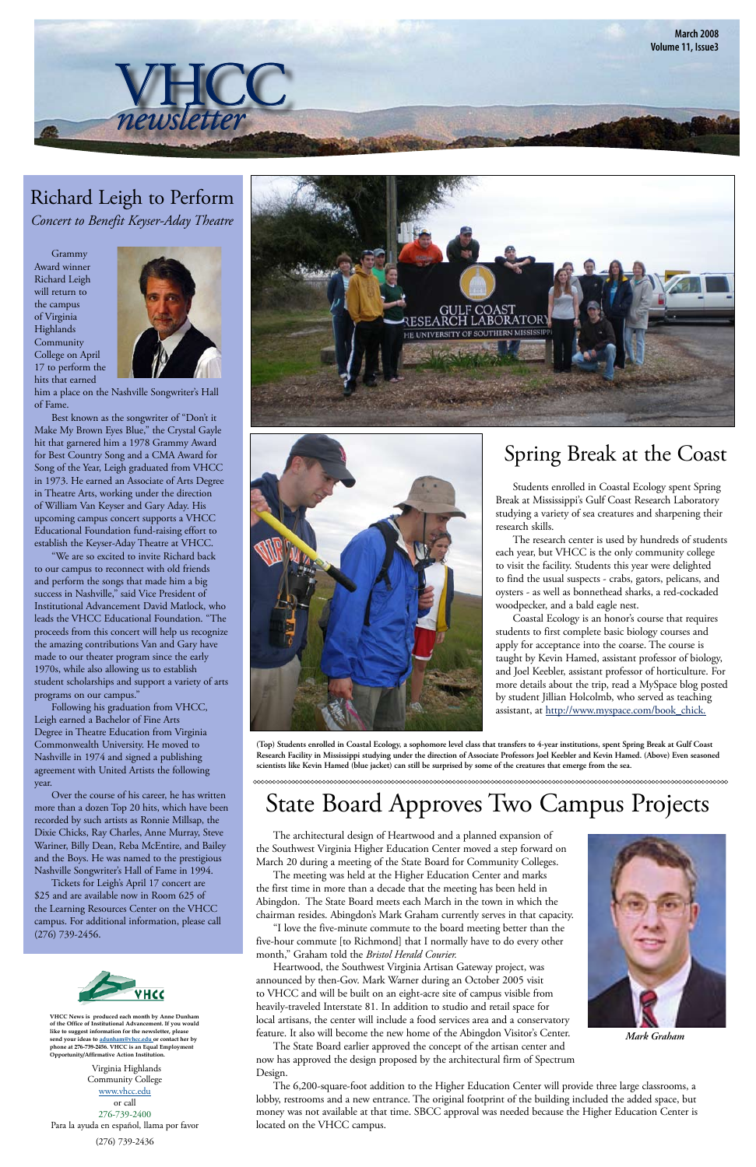Grammy Award winner Richard Leigh will return to the campus of Virginia Highlands Community College on April 17 to perform the hits that earned



him a place on the Nashville Songwriter's Hall of Fame.

Best known as the songwriter of "Don't it Make My Brown Eyes Blue," the Crystal Gayle hit that garnered him a 1978 Grammy Award for Best Country Song and a CMA Award for Song of the Year, Leigh graduated from VHCC in 1973. He earned an Associate of Arts Degree in Theatre Arts, working under the direction of William Van Keyser and Gary Aday. His upcoming campus concert supports a VHCC Educational Foundation fund-raising effort to establish the Keyser-Aday Theatre at VHCC.

 "We are so excited to invite Richard back to our campus to reconnect with old friends and perform the songs that made him a big success in Nashville," said Vice President of Institutional Advancement David Matlock, who leads the VHCC Educational Foundation. "The proceeds from this concert will help us recognize the amazing contributions Van and Gary have made to our theater program since the early 1970s, while also allowing us to establish student scholarships and support a variety of arts programs on our campus."

 Coastal Ecology is an honor's course that requires students to first complete basic biology courses and apply for acceptance into the coarse. The course is taught by Kevin Hamed, assistant professor of biology, and Joel Keebler, assistant professor of horticulture. For more details about the trip, read a MySpace blog posted by student Jillian Holcolmb, who served as teaching assistant, at http://www.myspace.com/book\_chick.

 Following his graduation from VHCC, Leigh earned a Bachelor of Fine Arts Degree in Theatre Education from Virginia Commonwealth University. He moved to Nashville in 1974 and signed a publishing agreement with United Artists the following year.

Over the course of his career, he has written more than a dozen Top 20 hits, which have been recorded by such artists as Ronnie Millsap, the Dixie Chicks, Ray Charles, Anne Murray, Steve Wariner, Billy Dean, Reba McEntire, and Bailey and the Boys. He was named to the prestigious Nashville Songwriter's Hall of Fame in 1994. Tickets for Leigh's April 17 concert are \$25 and are available now in Room 625 of the Learning Resources Center on the VHCC campus. For additional information, please call (276) 739-2456.





#### Richard Leigh to Perform *Concert to Benefit Keyser-Aday Theatre*

# State Board Approves Two Campus Projects

# Spring Break at the Coast

 Students enrolled in Coastal Ecology spent Spring Break at Mississippi's Gulf Coast Research Laboratory studying a variety of sea creatures and sharpening their research skills.

 The research center is used by hundreds of students each year, but VHCC is the only community college to visit the facility. Students this year were delighted to find the usual suspects - crabs, gators, pelicans, and oysters - as well as bonnethead sharks, a red-cockaded woodpecker, and a bald eagle nest.



**(Top) Students enrolled in Coastal Ecology, a sophomore level class that transfers to 4-year institutions, spent Spring Break at Gulf Coast Research Facility in Mississippi studying under the direction of Associate Professors Joel Keebler and Kevin Hamed. (Above) Even seasoned scientists like Kevin Hamed (blue jacket) can still be surprised by some of the creatures that emerge from the sea.**

 The architectural design of Heartwood and a planned expansion of the Southwest Virginia Higher Education Center moved a step forward on





March 20 during a meeting of the State Board for Community Colleges.

 The meeting was held at the Higher Education Center and marks the first time in more than a decade that the meeting has been held in Abingdon. The State Board meets each March in the town in which the chairman resides. Abingdon's Mark Graham currently serves in that capacity. 

"I love the five-minute commute to the board meeting better than the five-hour commute [to Richmond] that I normally have to do every other month," Graham told the *Bristol Herald Courier.* 

Heartwood, the Southwest Virginia Artisan Gateway project, was announced by then-Gov. Mark Warner during an October 2005 visit to VHCC and will be built on an eight-acre site of campus visible from heavily-traveled Interstate 81. In addition to studio and retail space for local artisans, the center will include a food services area and a conservatory feature. It also will become the new home of the Abingdon Visitor's Center. The State Board earlier approved the concept of the artisan center and now has approved the design proposed by the architectural firm of Spectrum Design.

 The 6,200-square-foot addition to the Higher Education Center will provide three large classrooms, a lobby, restrooms and a new entrance. The original footprint of the building included the added space, but money was not available at that time. SBCC approval was needed because the Higher Education Center is located on the VHCC campus. 

*Mark Graham*

Virginia Highlands Community College www.vhcc.edu or call 276-739-2400 Para la ayuda en español, llama por favor (276) 739-2436

**VHCC News is produced each month by Anne Dunham of the Office of Institutional Advancement. If you would like to suggest information for the newsletter, please send your ideas to adunham@vhcc.edu or contact her by phone at 276-739-2456. VHCC is an Equal Employment Opportunity/Affirmative Action Institution.**